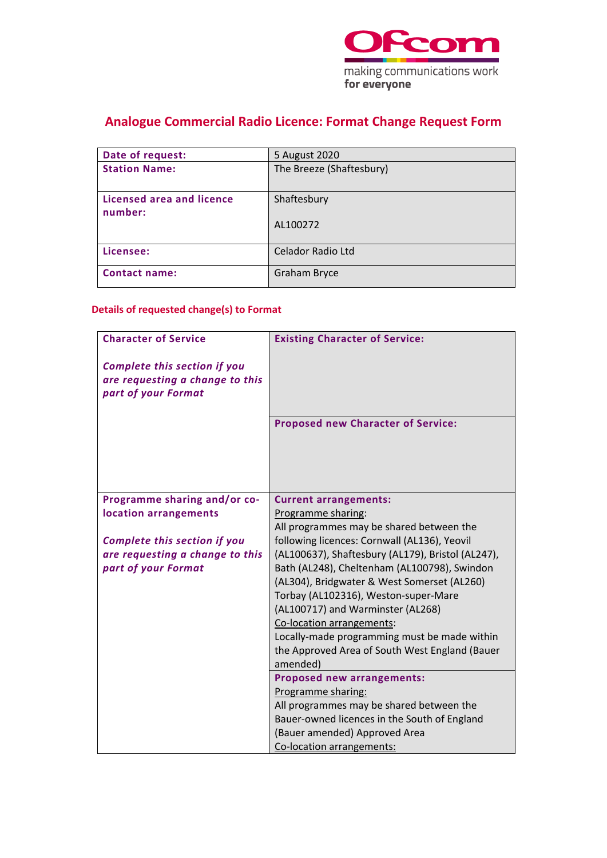

## **Analogue Commercial Radio Licence: Format Change Request Form**

| Date of request:                     | 5 August 2020            |
|--------------------------------------|--------------------------|
| <b>Station Name:</b>                 | The Breeze (Shaftesbury) |
| Licensed area and licence<br>number: | Shaftesbury              |
|                                      | AL100272                 |
| Licensee:                            | Celador Radio Ltd        |
| <b>Contact name:</b>                 | <b>Graham Bryce</b>      |

### **Details of requested change(s) to Format**

| <b>Character of Service</b>         | <b>Existing Character of Service:</b>             |
|-------------------------------------|---------------------------------------------------|
| <b>Complete this section if you</b> |                                                   |
| are requesting a change to this     |                                                   |
| part of your Format                 |                                                   |
|                                     |                                                   |
|                                     | <b>Proposed new Character of Service:</b>         |
|                                     |                                                   |
|                                     |                                                   |
|                                     |                                                   |
|                                     |                                                   |
| Programme sharing and/or co-        | <b>Current arrangements:</b>                      |
| location arrangements               | Programme sharing:                                |
|                                     | All programmes may be shared between the          |
| <b>Complete this section if you</b> | following licences: Cornwall (AL136), Yeovil      |
| are requesting a change to this     | (AL100637), Shaftesbury (AL179), Bristol (AL247), |
| part of your Format                 | Bath (AL248), Cheltenham (AL100798), Swindon      |
|                                     | (AL304), Bridgwater & West Somerset (AL260)       |
|                                     | Torbay (AL102316), Weston-super-Mare              |
|                                     | (AL100717) and Warminster (AL268)                 |
|                                     | Co-location arrangements:                         |
|                                     | Locally-made programming must be made within      |
|                                     | the Approved Area of South West England (Bauer    |
|                                     | amended)                                          |
|                                     | <b>Proposed new arrangements:</b>                 |
|                                     | Programme sharing:                                |
|                                     | All programmes may be shared between the          |
|                                     | Bauer-owned licences in the South of England      |
|                                     | (Bauer amended) Approved Area                     |
|                                     | Co-location arrangements:                         |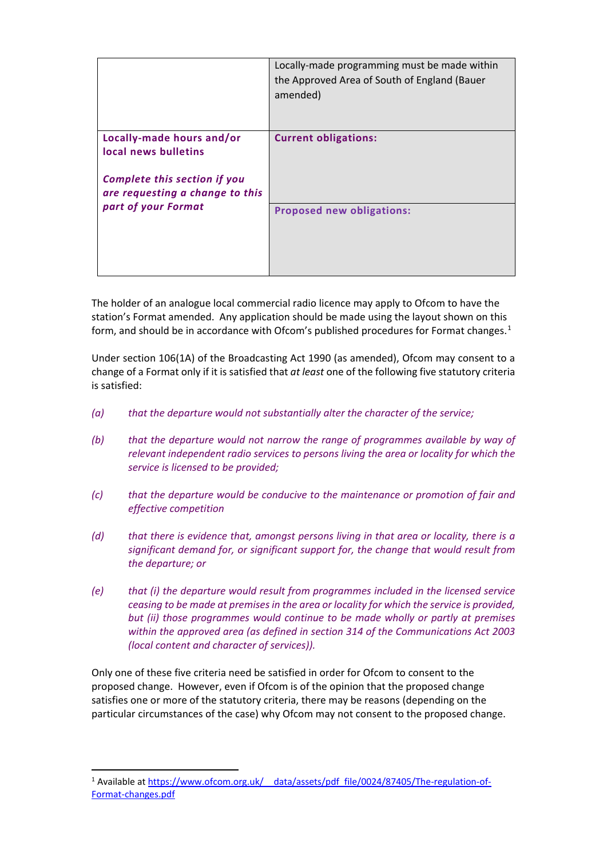|                                                                                                                                                    | Locally-made programming must be made within<br>the Approved Area of South of England (Bauer<br>amended) |
|----------------------------------------------------------------------------------------------------------------------------------------------------|----------------------------------------------------------------------------------------------------------|
| Locally-made hours and/or<br>local news bulletins<br><b>Complete this section if you</b><br>are requesting a change to this<br>part of your Format | <b>Current obligations:</b>                                                                              |
|                                                                                                                                                    | <b>Proposed new obligations:</b>                                                                         |

The holder of an analogue local commercial radio licence may apply to Ofcom to have the station's Format amended. Any application should be made using the layout shown on this form, and should be in accordance with Ofcom's published procedures for Format changes.<sup>[1](#page-1-0)</sup>

Under section 106(1A) of the Broadcasting Act 1990 (as amended), Ofcom may consent to a change of a Format only if it is satisfied that *at least* one of the following five statutory criteria is satisfied:

- *(a) that the departure would not substantially alter the character of the service;*
- *(b) that the departure would not narrow the range of programmes available by way of relevant independent radio services to persons living the area or locality for which the service is licensed to be provided;*
- *(c) that the departure would be conducive to the maintenance or promotion of fair and effective competition*
- *(d) that there is evidence that, amongst persons living in that area or locality, there is a significant demand for, or significant support for, the change that would result from the departure; or*
- *(e) that (i) the departure would result from programmes included in the licensed service ceasing to be made at premises in the area or locality for which the service is provided, but (ii) those programmes would continue to be made wholly or partly at premises within the approved area (as defined in section 314 of the Communications Act 2003 (local content and character of services)).*

Only one of these five criteria need be satisfied in order for Ofcom to consent to the proposed change. However, even if Ofcom is of the opinion that the proposed change satisfies one or more of the statutory criteria, there may be reasons (depending on the particular circumstances of the case) why Ofcom may not consent to the proposed change.

<span id="page-1-0"></span><sup>&</sup>lt;sup>1</sup> Available at https://www.ofcom.org.uk/ data/assets/pdf file/0024/87405/The-regulation-of-[Format-changes.pdf](https://www.ofcom.org.uk/__data/assets/pdf_file/0024/87405/The-regulation-of-Format-changes.pdf)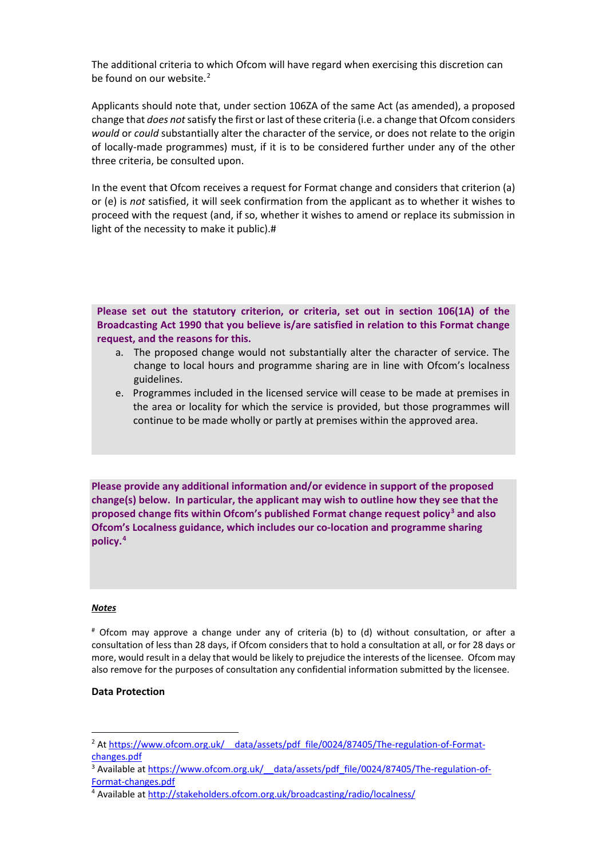The additional criteria to which Ofcom will have regard when exercising this discretion can be found on our website.<sup>[2](#page-2-0)</sup>

Applicants should note that, under section 106ZA of the same Act (as amended), a proposed change that *does not*satisfy the first or last of these criteria (i.e. a change that Ofcom considers *would* or *could* substantially alter the character of the service, or does not relate to the origin of locally-made programmes) must, if it is to be considered further under any of the other three criteria, be consulted upon.

In the event that Ofcom receives a request for Format change and considers that criterion (a) or (e) is *not* satisfied, it will seek confirmation from the applicant as to whether it wishes to proceed with the request (and, if so, whether it wishes to amend or replace its submission in light of the necessity to make it public).#

**Please set out the statutory criterion, or criteria, set out in section 106(1A) of the Broadcasting Act 1990 that you believe is/are satisfied in relation to this Format change request, and the reasons for this.** 

- a. The proposed change would not substantially alter the character of service. The change to local hours and programme sharing are in line with Ofcom's localness guidelines.
- e. Programmes included in the licensed service will cease to be made at premises in the area or locality for which the service is provided, but those programmes will continue to be made wholly or partly at premises within the approved area.

**Please provide any additional information and/or evidence in support of the proposed change(s) below. In particular, the applicant may wish to outline how they see that the proposed change fits within Ofcom's published Format change request policy[3](#page-2-1) and also Ofcom's Localness guidance, which includes our co-location and programme sharing policy.[4](#page-2-2)** 

#### *Notes*

# Ofcom may approve a change under any of criteria (b) to (d) without consultation, or after a consultation of less than 28 days, if Ofcom considers that to hold a consultation at all, or for 28 days or more, would result in a delay that would be likely to prejudice the interests of the licensee. Ofcom may also remove for the purposes of consultation any confidential information submitted by the licensee.

### **Data Protection**

<span id="page-2-0"></span><sup>&</sup>lt;sup>2</sup> At https://www.ofcom.org.uk/ data/assets/pdf file/0024/87405/The-regulation-of-Format- $\frac{\text{changes.pdf}}{3}$  Available at https://www.ofcom.org.uk/ data/assets/pdf file/0024/87405/The-regulation-of-

<span id="page-2-1"></span>Format-changes.pdf<br><sup>4</sup> Available at<http://stakeholders.ofcom.org.uk/broadcasting/radio/localness/>

<span id="page-2-2"></span>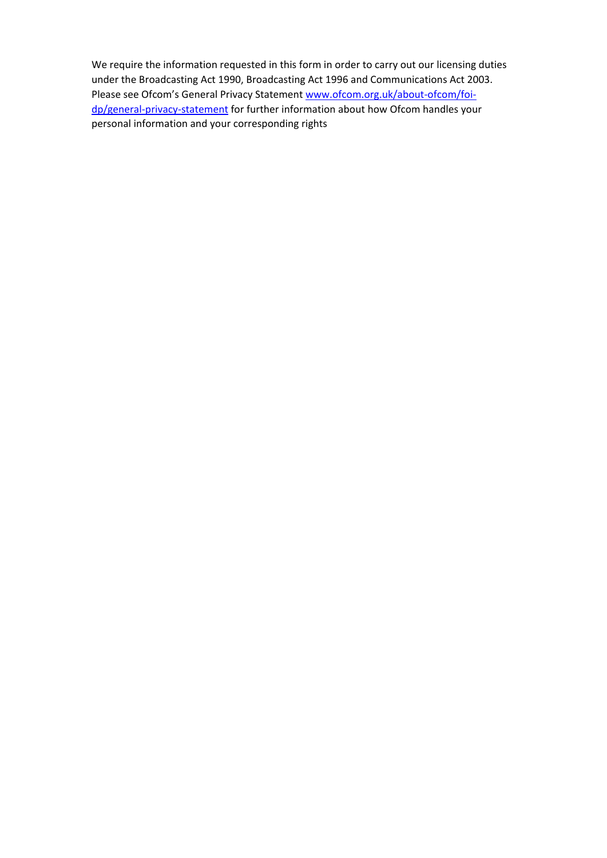We require the information requested in this form in order to carry out our licensing duties under the Broadcasting Act 1990, Broadcasting Act 1996 and Communications Act 2003. Please see Ofcom's General Privacy Statement [www.ofcom.org.uk/about-ofcom/foi](http://www.ofcom.org.uk/about-ofcom/foi-dp/general-privacy-statement)[dp/general-privacy-statement](http://www.ofcom.org.uk/about-ofcom/foi-dp/general-privacy-statement) for further information about how Ofcom handles your personal information and your corresponding rights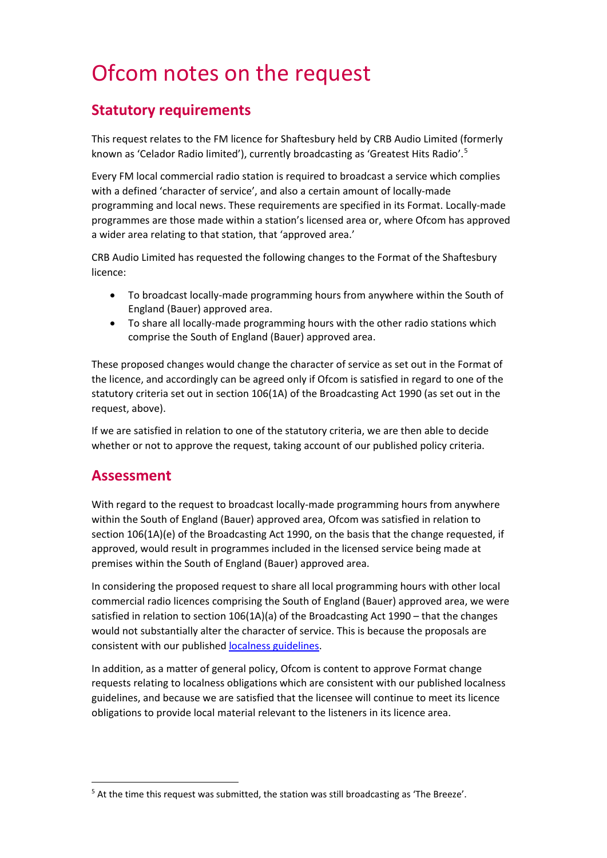# Ofcom notes on the request

### **Statutory requirements**

This request relates to the FM licence for Shaftesbury held by CRB Audio Limited (formerly known as 'Celador Radio limited'), currently broadcasting as 'Greatest Hits Radio'.<sup>[5](#page-4-0)</sup>

Every FM local commercial radio station is required to broadcast a service which complies with a defined 'character of service', and also a certain amount of locally-made programming and local news. These requirements are specified in its Format. Locally-made programmes are those made within a station's licensed area or, where Ofcom has approved a wider area relating to that station, that 'approved area.'

CRB Audio Limited has requested the following changes to the Format of the Shaftesbury licence:

- To broadcast locally-made programming hours from anywhere within the South of England (Bauer) approved area.
- To share all locally-made programming hours with the other radio stations which comprise the South of England (Bauer) approved area.

These proposed changes would change the character of service as set out in the Format of the licence, and accordingly can be agreed only if Ofcom is satisfied in regard to one of the statutory criteria set out in section 106(1A) of the Broadcasting Act 1990 (as set out in the request, above).

If we are satisfied in relation to one of the statutory criteria, we are then able to decide whether or not to approve the request, taking account of our published policy criteria.

### **Assessment**

With regard to the request to broadcast locally-made programming hours from anywhere within the South of England (Bauer) approved area, Ofcom was satisfied in relation to section 106(1A)(e) of the Broadcasting Act 1990, on the basis that the change requested, if approved, would result in programmes included in the licensed service being made at premises within the South of England (Bauer) approved area.

In considering the proposed request to share all local programming hours with other local commercial radio licences comprising the South of England (Bauer) approved area, we were satisfied in relation to section 106(1A)(a) of the Broadcasting Act 1990 – that the changes would not substantially alter the character of service. This is because the proposals are consistent with our published [localness guidelines.](https://www.ofcom.org.uk/tv-radio-and-on-demand/information-for-industry/radio-broadcasters/localness)

In addition, as a matter of general policy, Ofcom is content to approve Format change requests relating to localness obligations which are consistent with our published localness guidelines, and because we are satisfied that the licensee will continue to meet its licence obligations to provide local material relevant to the listeners in its licence area.

<span id="page-4-0"></span><sup>&</sup>lt;sup>5</sup> At the time this request was submitted, the station was still broadcasting as 'The Breeze'.